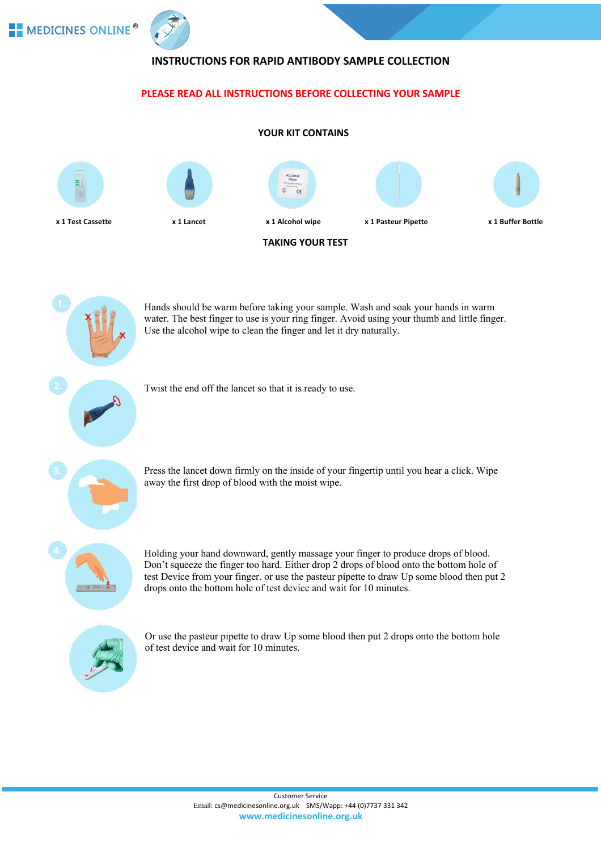



# **INSTRUCTIONS FOR RAPID ANTIBODY SAMPLE COLLECTION**

## **PLEASE READ ALL INSTRUCTIONS BEFORE COLLECTING YOUR SAMPLE**



Hands should be warm before taking your sample. Wash and soak your hands in warm water. The best finger to use is your ring finger. Avoid using your thumb and little finger. Use the alcohol wipe to clean the finger and let it dry naturally.

Twist the end off the lancet so that it is ready to use.



Press the lancet down firmly on the inside of your fingertip until you hear a click. Wipe away the first drop of blood with the moist wipe.



Holding your hand downward, gently massage your finger to produce drops of blood. Don't squeeze the finger too hard. Either drop 2 drops of blood onto the bottom hole of test Device from your finger. or use the pasteur pipette to draw Up some blood then put 2 drops onto the bottom hole of test device and wait for 10 minutes.



Or use the pasteur pipette to draw Up some blood then put 2 drops onto the bottom hole of test device and wait for 10 minutes.